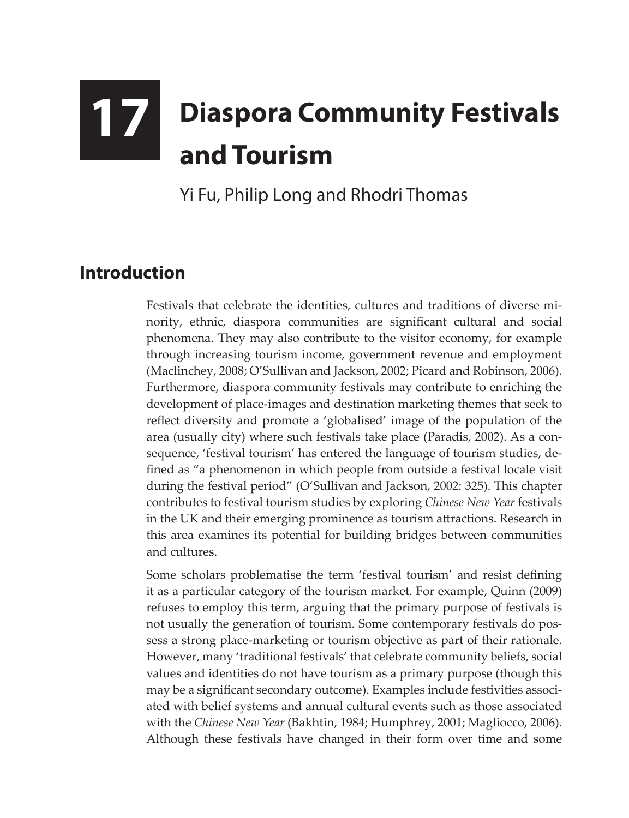## **17 Diaspora Community Festivals and Tourism**

Yi Fu, Philip Long and Rhodri Thomas

## **Introduction**

Festivals that celebrate the identities, cultures and traditions of diverse minority, ethnic, diaspora communities are significant cultural and social phenomena. They may also contribute to the visitor economy, for example through increasing tourism income, government revenue and employment (Maclinchey, 2008; O'Sullivan and Jackson, 2002; Picard and Robinson, 2006). Furthermore, diaspora community festivals may contribute to enriching the development of place-images and destination marketing themes that seek to reflect diversity and promote a 'globalised' image of the population of the area (usually city) where such festivals take place (Paradis, 2002). As a consequence, 'festival tourism' has entered the language of tourism studies, defined as "a phenomenon in which people from outside a festival locale visit during the festival period" (O'Sullivan and Jackson, 2002: 325). This chapter contributes to festival tourism studies by exploring *Chinese New Year* festivals in the UK and their emerging prominence as tourism attractions. Research in this area examines its potential for building bridges between communities and cultures.

Some scholars problematise the term 'festival tourism' and resist defining it as a particular category of the tourism market. For example, Quinn (2009) refuses to employ this term, arguing that the primary purpose of festivals is not usually the generation of tourism. Some contemporary festivals do possess a strong place-marketing or tourism objective as part of their rationale. However, many 'traditional festivals' that celebrate community beliefs, social values and identities do not have tourism as a primary purpose (though this may be a significant secondary outcome). Examples include festivities associated with belief systems and annual cultural events such as those associated with the *Chinese New Year* (Bakhtin, 1984; Humphrey, 2001; Magliocco, 2006). Although these festivals have changed in their form over time and some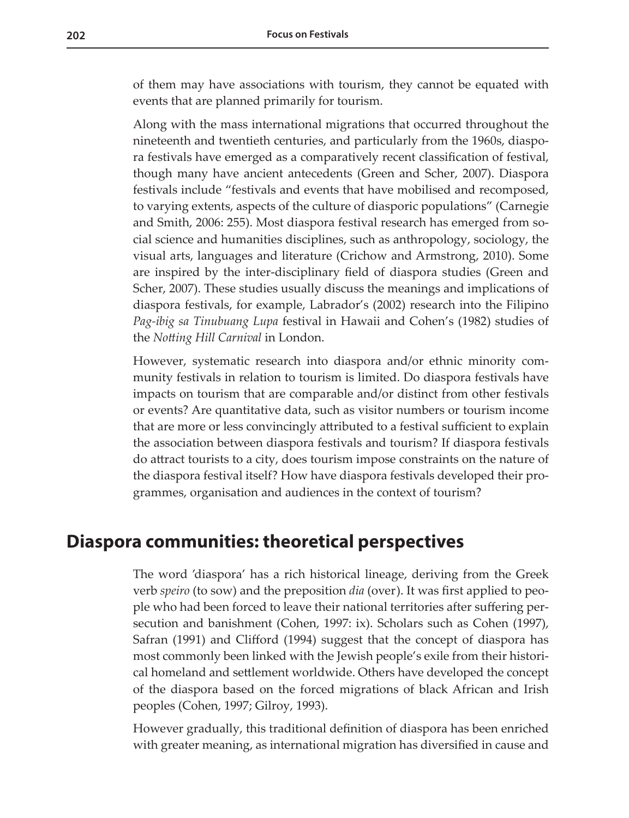of them may have associations with tourism, they cannot be equated with events that are planned primarily for tourism.

Along with the mass international migrations that occurred throughout the nineteenth and twentieth centuries, and particularly from the 1960s, diaspora festivals have emerged as a comparatively recent classification of festival, though many have ancient antecedents (Green and Scher, 2007). Diaspora festivals include "festivals and events that have mobilised and recomposed, to varying extents, aspects of the culture of diasporic populations" (Carnegie and Smith, 2006: 255). Most diaspora festival research has emerged from social science and humanities disciplines, such as anthropology, sociology, the visual arts, languages and literature (Crichow and Armstrong, 2010). Some are inspired by the inter-disciplinary field of diaspora studies (Green and Scher, 2007). These studies usually discuss the meanings and implications of diaspora festivals, for example, Labrador's (2002) research into the Filipino *Pag-ibig sa Tinubuang Lupa* festival in Hawaii and Cohen's (1982) studies of the *Notting Hill Carnival* in London.

However, systematic research into diaspora and/or ethnic minority community festivals in relation to tourism is limited. Do diaspora festivals have impacts on tourism that are comparable and/or distinct from other festivals or events? Are quantitative data, such as visitor numbers or tourism income that are more or less convincingly attributed to a festival sufficient to explain the association between diaspora festivals and tourism? If diaspora festivals do attract tourists to a city, does tourism impose constraints on the nature of the diaspora festival itself? How have diaspora festivals developed their programmes, organisation and audiences in the context of tourism?

## **Diaspora communities: theoretical perspectives**

The word 'diaspora' has a rich historical lineage, deriving from the Greek verb *speiro* (to sow) and the preposition *dia* (over). It was first applied to people who had been forced to leave their national territories after suffering persecution and banishment (Cohen, 1997: ix). Scholars such as Cohen (1997), Safran (1991) and Clifford (1994) suggest that the concept of diaspora has most commonly been linked with the Jewish people's exile from their historical homeland and settlement worldwide. Others have developed the concept of the diaspora based on the forced migrations of black African and Irish peoples (Cohen, 1997; Gilroy, 1993).

However gradually, this traditional definition of diaspora has been enriched with greater meaning, as international migration has diversified in cause and